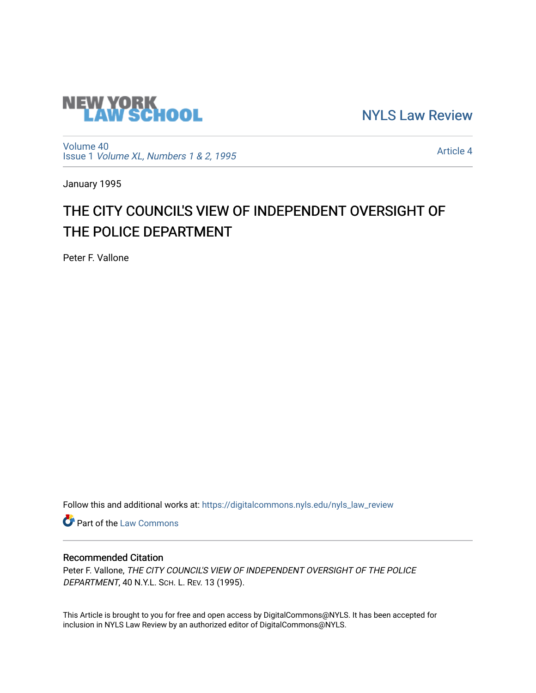

[NYLS Law Review](https://digitalcommons.nyls.edu/nyls_law_review) 

[Volume 40](https://digitalcommons.nyls.edu/nyls_law_review/vol40) Issue 1 [Volume XL, Numbers 1 & 2, 1995](https://digitalcommons.nyls.edu/nyls_law_review/vol40/iss1)

[Article 4](https://digitalcommons.nyls.edu/nyls_law_review/vol40/iss1/4) 

January 1995

# THE CITY COUNCIL'S VIEW OF INDEPENDENT OVERSIGHT OF THE POLICE DEPARTMENT

Peter F. Vallone

Follow this and additional works at: [https://digitalcommons.nyls.edu/nyls\\_law\\_review](https://digitalcommons.nyls.edu/nyls_law_review?utm_source=digitalcommons.nyls.edu%2Fnyls_law_review%2Fvol40%2Fiss1%2F4&utm_medium=PDF&utm_campaign=PDFCoverPages) 

**Part of the [Law Commons](https://network.bepress.com/hgg/discipline/578?utm_source=digitalcommons.nyls.edu%2Fnyls_law_review%2Fvol40%2Fiss1%2F4&utm_medium=PDF&utm_campaign=PDFCoverPages)** 

# Recommended Citation

Peter F. Vallone, THE CITY COUNCIL'S VIEW OF INDEPENDENT OVERSIGHT OF THE POLICE DEPARTMENT, 40 N.Y.L. SCH. L. REV. 13 (1995).

This Article is brought to you for free and open access by DigitalCommons@NYLS. It has been accepted for inclusion in NYLS Law Review by an authorized editor of DigitalCommons@NYLS.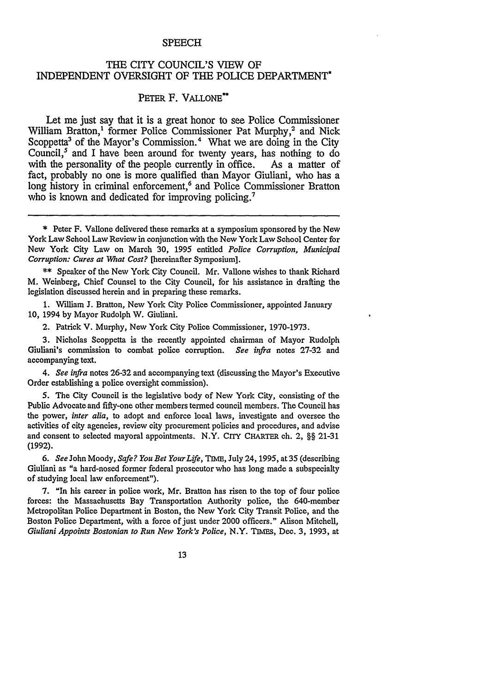#### SPEECH

## THE CITY COUNCIL'S VIEW OF INDEPENDENT OVERSIGHT **OF** THE POLICE DEPARTMENT\*

## PETER F. **VALLONE\*\***

Let me just say that it is a great honor to see Police Commissioner William Bratton,<sup>1</sup> former Police Commissioner Pat Murphy,<sup>2</sup> and Nick Scoppetta<sup>3</sup> of the Mayor's Commission.<sup>4</sup> What we are doing in the City Council, $<sup>5</sup>$  and I have been around for twenty years, has nothing to do</sup> with the personality of the people currently in office. As a matter of fact, probably no one is more qualified than Mayor Giuliani, who has a long history in criminal enforcement,<sup>6</sup> and Police Commissioner Bratton who is known and dedicated for improving policing.<sup>7</sup>

\*\* Speaker of the New York City Council. Mr. Valone wishes to thank Richard M. Weinberg, Chief Counsel to the City Council, for his assistance in drafting the legislation discussed herein and in preparing these remarks.

**1.** William J. Bratton, New York City Police Commissioner, appointed January 10, 1994 by Mayor Rudolph W. Giuliani.

2. Patrick V. Murphy, New York City Police Commissioner, 1970-1973.

3. Nicholas Scoppetta is the recently appointed chairman of Mayor Rudolph Giuliani's commission to combat police corruption. *See infra* notes 27-32 and accompanying text.

*4. See infra* notes 26-32 and accompanying text (discussing the Mayor's Executive Order establishing a police oversight commission).

5. The City Council is the legislative body of New York City, consisting of the Public Advocate and fifty-one other members termed council members. The Council has the power, *inter alia,* to adopt and enforce local laws, investigate and oversee the activities of city agencies, review city procurement policies and procedures, and advise and consent to selected mayoral appointments. N.Y. CrTy **CHARTER** ch. 2, §§ 21-31 (1992).

*6. See* John Moody, *Safe? You Bet YourLife, TIME,* July 24, 1995, at 35 (describing Giuliani as "a hard-nosed former federal prosecutor who has long made a subspecialty of studying local law enforcement").

**7.** "In his career in police work, Mr. Bratton has risen to the top of four police forces: the Massachusetts Bay Transportation Authority police, the 640-member Metropolitan Police Department in Boston, the New York City Transit Police, and the Boston Police Department, with a force of just under 2000 officers." Alison Mitchell, *Giuliani Appoints Bostonian to Run New York's Police,* N.Y. TIMES, Dec. 3, 1993, at

13

<sup>\*</sup> Peter F. Vallone delivered these remarks at a symposium sponsored by the New York Law School Law Review in conjunction with the New York Law School Center for New York City Law on March 30, 1995 entitled *Police Corruption, Municipal Corruption: Cures at What Cost?* [hereinafter Symposium].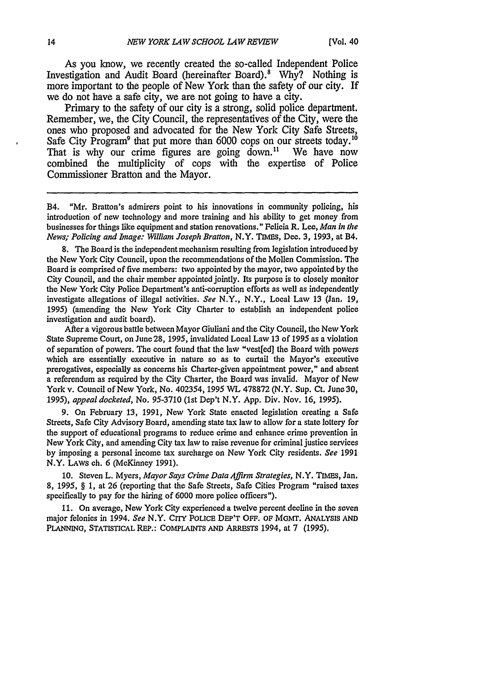As you know, we recently created the so-called Independent Police Investigation and Audit Board (hereinafter Board).<sup>8</sup> Why? Nothing is more important to the people of New York than the safety of our city. If we do not have a safe city, we are not going to have a city.

Primary to the safety of our city is a strong, solid police department. Remember, we, the City Council, the representatives of the City, were the ones who proposed and advocated for the New York City Safe Streets, Safe City Program<sup>9</sup> that put more than 6000 cops on our streets today.<sup>16</sup> That is why our crime figures are going down.<sup>11</sup> We have now combined the multiplicity of cops with the expertise of Police Commissioner Bratton and the Mayor.

B4. "Mr. Bratton's admirers point to his innovations in community policing, his introduction of new technology and more training and his ability to get money from businesses for things like equipment and station renovations." Felicia R. Lee, *Man in the News; Policing and Image: William Joseph Bratton,* N.Y. TIMES, Dec. 3, 1993, at B4.

8. The Board is the independent mechanism resulting from legislation introduced by the New York City Council, upon the recommendations of the Mollen Commission. The Board is comprised of five members: two appointed **by** the mayor, two appointed **by** the City Council, and the chair member appointed jointly. Its purpose is to closely monitor the New York City Police Department's anti-corruption efforts as well as independently investigate allegations of illegal activities. *See* N.Y., N.Y., Local Law **13** (Jan. 19, 1995) (amending the New York City Charter to establish an independent police investigation and audit board).

After a vigorous battle between Mayor Giuliani and the City Council, the New York State Supreme Court, on June 28, 1995, invalidated Local Law 13 of 1995 as a violation of separation of powers. The court found that the law "vest[ed] the Board with powers which are essentially executive in nature so as to curtail the Mayor's executive prerogatives, especially as concerns his Charter-given appointment power," and absent a referendum as required by the City Charter, the Board was invalid. Mayor of New York v. Council of New York, No. 402354, 1995 WL 478872 (N.Y. Sup. Ct. June 30, 1995), *appeal docketed,* No. 95-3710 (1st Dep't N.Y. App. Div. Nov. 16, *1995).*

9. On February 13, 1991, New York State enacted legislation creating a Safe Streets, Safe City Advisory Board, amending state tax law to allow for a state lottery for the support of educational programs to reduce crime and enhance crime prevention in New York City, and amending City tax law to raise revenue for criminal justice services by imposing a personal income tax surcharge on New York City residents. *See* 1991 N.Y. LAWS ch. 6 (McKinney 1991).

10. Steven L. Myers, *Mayor Says Crime Data Affirm Strategies,* N.Y. TIMES, Jan. 8, 1995, § 1, at 26 (reporting that the Safe Streets, Safe Cities Program "raised taxes specifically to pay for the hiring of 6000 more police officers").

11. On average, New York City experienced a twelve percent decline in the seven major felonies in 1994. *See* N.Y. CIy **POLICE DEP'T** OFF. **OF** McMT. ANALYSIS **AND PLANNING, STATISTICAL REP.: COMPLAINTS AND** ARRESTS 1994, at 7 (1995).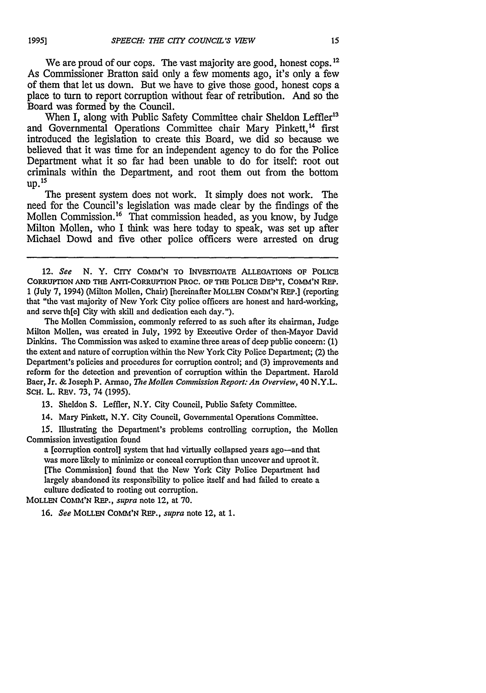We are proud of our cops. The vast majority are good, honest cops. **12** As Commissioner Bratton said only a few moments ago, it's only a few of them that let us down. But we have to give those good, honest cops a place to turn to report torruption without fear of retribution. And so the Board was formed by the Council.

When I, along with Public Safety Committee chair Sheldon Leffler<sup>13</sup> and Governmental Operations Committee chair Mary Pinkett,<sup>14</sup> first introduced the legislation to create this Board, we did so because we believed that it was time for an independent agency to do for the Police Department what it so far had been unable to do for itself: root out criminals within the Department, and root them out from the bottom **up. 15**

The present system does not work. It simply does not work. The need for the Council's legislation was made clear by the findings of the Mollen Commission.<sup>16</sup> That commission headed, as you know, by Judge Milton Mollen, who I think was here today to speak, was set up after Michael Dowd and five other police officers were arrested on drug

The Mollen Commission, commonly referred to as such after its chairman, Judge Milton Mollen, was created in July, 1992 by Executive Order of then-Mayor David Dinkins. The Commission was asked to examine three areas of deep public concern: **(1)** the extent and nature of corruption within the New York City Police Department; (2) the Department's policies and procedures for corruption control; and (3) improvements and reform for the detection and prevention of corruption within the Department. Harold Baer, Jr. & Joseph P. Armao, *The Mollen Commission Report: An Overview,* 40 N.Y.L. SCH. L. REV. 73, 74 (1995).

**13.** Sheldon S. Leffler, N.Y. City Council, Public Safety Committee.

14. Mary Pinkett, N.Y. City Council, Governmental Operations Committee.

**15.** Illustrating the Department's problems controlling corruption, the Mollen Commission investigation found

a [corruption control] system that had virtually collapsed years ago-and that was more likely to minimize or conceal corruption than uncover and uproot it. [The Commission] found that the New York City Police Department had largely abandoned its responsibility to police itself and had failed to create a culture dedicated to rooting out corruption.

MOLLEN **CONI'N REP.,** *supra* note 12, at **70.**

**16.** *See* MOLLEN COMM'N REP., *supra* note 12, at **1.**

<sup>12.</sup> *See* **N.** Y. **CrIY COMM'N** TO INVESTIGATE **ALLEGATIONS** OF POLICE CoRRUnrION **AND** THE ANTI-CoRRUTION **PROC.** OF THE PoLIcE DEP'T, **COMM'N** REP. **1** (July 7, 1994) (Milton Mollen, Chair) [hereinafter MOLLEN **COMM'N** REP.] (reporting that "the vast majority of New York City police officers are honest and hard-working, and serve th[e] City with skill and dedication each day.").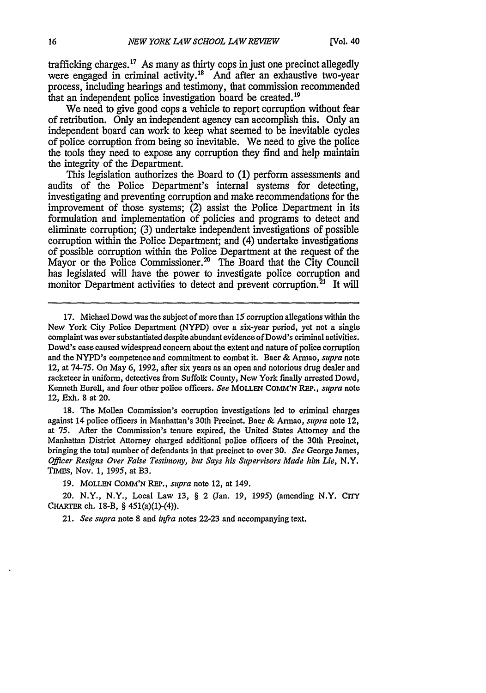trafficking charges.17 As many as thirty cops in just one precinct allegedly were engaged in criminal activity.18 *And* after an exhaustive two-year process, including hearings and testimony, that commission recommended that an independent police investigation board be created.<sup>19</sup>

We need to give good cops a vehicle to report corruption without fear of retribution. Only an independent agency can accomplish this. Only an independent board can work to keep what seemed to be inevitable cycles of police corruption from being so inevitable. We need to give the police the tools they need to expose any corruption they find and help maintain the integrity of the Department.

This legislation authorizes the Board to (1) perform assessments and audits of the Police Department's internal systems for detecting, investigating and preventing corruption and make recommendations for the improvement of those systems; (2) assist the Police Department in its formulation and implementation of policies and programs to detect and eliminate corruption; (3) undertake independent investigations of possible corruption within the Police Department; and (4) undertake investigations of possible corruption within the Police Department at the request of the Mayor or the Police Commissioner.<sup>20</sup> The Board that the City Council has legislated will have the power to investigate police corruption and monitor Department activities to detect and prevent corruption.<sup>21</sup> It will

18. The Mollen Commission's corruption investigations **led** to criminal charges against 14 police officers in Manhattan's 30th Precinct. Baer & Armao, *supra* note 12, at 75. After the Commission's tenure expired, the United States Attorney and the Manhattan District Attorney charged additional police officers of the 30th Precinct, bringing the total number of defendants in that precinct to over **30.** *See* George James, *Officer Resigns Over False Testimony, but Says his Supervisors Made him Lie,* N.Y. TIMES, Nov. 1, 1995, at B3.

**19. MOLLEN COMM'N** REP., *supra* note 12, at 149.

20. N.Y., N.Y., Local Law 13, § 2 (Jan. 19, 1995) (amending N.Y. CITY CHARTER ch. 18-B, § 451(a)(1)-(4)).

21. *See supra* note **8** and *infra* notes **22-23** and accompanying text.

<sup>17.</sup> Michael Dowd was the subject of more than 15 corruption allegations within the New York City Police Department (NYPD) over a six-year period, yet not a single complaint was ever substantiated despite abundant evidence of Dowd's criminal activities. Dowd's case caused widespread concern about the extent and nature of police corruption and the NYPD's competence and commitment to combat it. Baer & Armao, *supra* note 12, at **74-75.** On May 6, 1992, after six years as an open and notorious drug dealer and racketeer in uniform, detectives from Suffolk County, New York finally arrested Dowd, Kenneth Eurell, and four other police officers. *See* **MOLLEN CoMM'N** *REP.,* supra note 12, Exh. 8 at 20.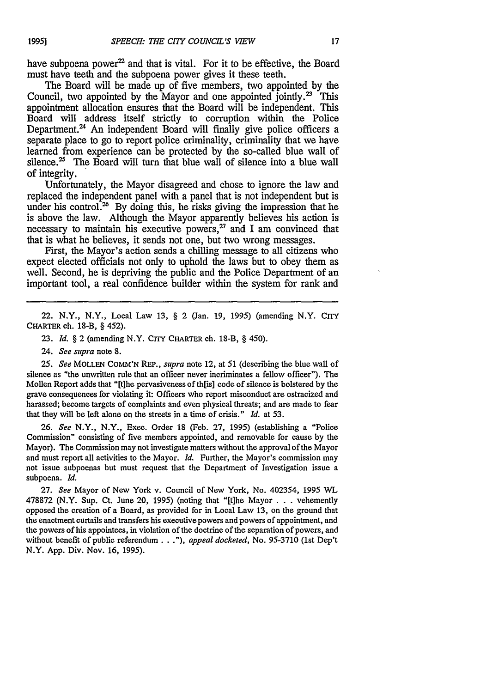have subpoena power<sup>22</sup> and that is vital. For it to be effective, the Board must have teeth and the subpoena power gives it these teeth.

The Board will be made up of five members, two appointed by the Council, two appointed by the Mayor and one appointed jointly.<sup>23</sup> This appointment allocation ensures that the Board will be independent. This Board will address itself strictly to corruption within the Police Department. $24$  An independent Board will finally give police officers a separate place to go to report police criminality, criminality that we have learned from experience can be protected by the so-called blue wall of silence.<sup>25</sup> The Board will turn that blue wall of silence into a blue wall of integrity.

Unfortunately, the Mayor disagreed and chose to ignore the law and replaced the independent panel with a panel that is not independent but is under his control.<sup>26</sup> By doing this, he risks giving the impression that he is above the law. Although the Mayor apparently believes his action is necessary to maintain his executive powers, $^{27}$  and I am convinced that that is what he believes, it sends not one, but two wrong messages.

First, the Mayor's action sends a chilling message to all citizens who expect elected officials not only to uphold the laws but to obey them as well. Second, he is depriving the public and the Police Department of an important tool, a real confidence builder within the system for rank and

22. N.Y., N.Y., Local Law 13, § 2 (Jan. 19, 1995) (amending N.Y. CrrY CHARTER ch. 18-B, § 452).

23. *Id.* § 2 (amending N.Y. CITY CHARTER ch. 18-B, § 450).

24. See supra note 8.

*25. See* MOLLEN COMM'N REP., supra note 12, at 51 (describing the blue wall of silence as "the unwritten rule that an officer never incriminates a fellow officer"). The Mollen Report adds that "[t]he pervasiveness of th[is] code of silence is bolstered by the grave consequences for violating it: Officers who report misconduct are ostracized and harassed; become targets of complaints and even physical threats; and are made to fear that they will be left alone on the streets in a time of crisis." *Id.* at 53.

26. *See* N.Y., N.Y., Exec. Order 18 (Feb. 27, 1995) (establishing a "Police Commission" consisting of five members appointed, and removable for cause by the Mayor). The Commission may not investigate matters without the approval of the Mayor and must report all activities to the Mayor. *Id.* Further, the Mayor's commission may not issue subpoenas but must request that the Department of Investigation issue a subpoena. *Id.*

**27.** *See* Mayor of New York v. Council of New York, No. 402354, 1995 WL 478872 (N.Y. Sup. Ct. June 20, 1995) (noting that "[tlhe Mayor . . .vehemently opposed the creation of a Board, as provided for in Local Law 13, on the ground that the enactment curtails and transfers his executive powers and powers of appointment, and the powers of his appointees, in violation of the doctrine of the separation of powers, and without benefit of public referendum..."), *appeal docketed,* No. 95-3710 (1st Dep't N.Y. App. Div. Nov. 16, 1995).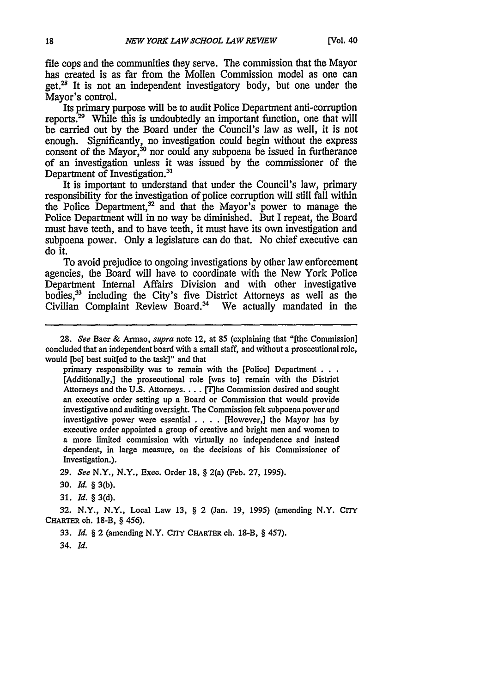file cops and the communities they serve. The commission that the Mayor has created is as far from the Mollen Commission model as one can get. $^{28}$  It is not an independent investigatory body, but one under the Mayor's control.

Its primary purpose will be to audit Police Department anti-corruption reports. $29$  While this is undoubtedly an important function, one that will be carried out by the Board under the Council's law as well, it is not enough. Significantly, no investigation could begin without the express consent of the Mayor,<sup>30</sup> nor could any subpoena be issued in furtherance of an investigation unless it was issued by the commissioner of the Department of Investigation.<sup>31</sup>

It is important to understand that under the Council's law, primary responsibility for the investigation of police corruption will still fall within the Police Department,<sup>32</sup> and that the Mayor's power to manage the Police Department will in no way be diminished. But I repeat, the Board must have teeth, and to have teeth, it must have its own investigation and subpoena power. Only a legislature can do that. No chief executive can do it.

To avoid prejudice to ongoing investigations by other law enforcement agencies, the Board will have to coordinate with the New York Police Department Internal Affairs Division and with other investigative bodies,<sup>33</sup> including the City's five District Attorneys as well as the Civilian Complaint Review Board.<sup>34</sup> We actually mandated in the

primary responsibility was to remain with the [Police] Department **. . .** [Additionally,] the prosecutional role [was to] remain with the District Attorneys and the U.S. Attorneys. . . . [T]he Commission desired and sought an executive order setting up a Board or Commission that would provide investigative and auditing oversight. The Commission felt subpoena power and investigative power were essential . **. .** . [However,] the Mayor has by executive order appointed a group of creative and bright men and women to a more limited commission with virtually no independence and instead dependent, in large measure, on the decisions of his Commissioner of Investigation.).

*29. See* N.Y., N.Y., Exec. Order 18, § 2(a) (Feb. 27, **1995).**

**30.** *Id.* § 3(b).

**31.** *Id. §* 3(d).

32. N.Y., N.Y., Local Law 13, § 2 (Jan. 19, **1995)** (amending N.Y. CITY CHARTER ch. 18-B, § 456).

33. *Id.* § 2 (amending N.Y. **CrrY** CHARTER **ch.** 18-B, § 457).

34. *Id.*

*<sup>28.</sup> See* Baer **&** Armao, *supra* note 12, at **85** (explaining that "[the Commission] concluded that an independent board with a small staff, and without a prosecutional role, would [be] best suit[ed to the task]" and that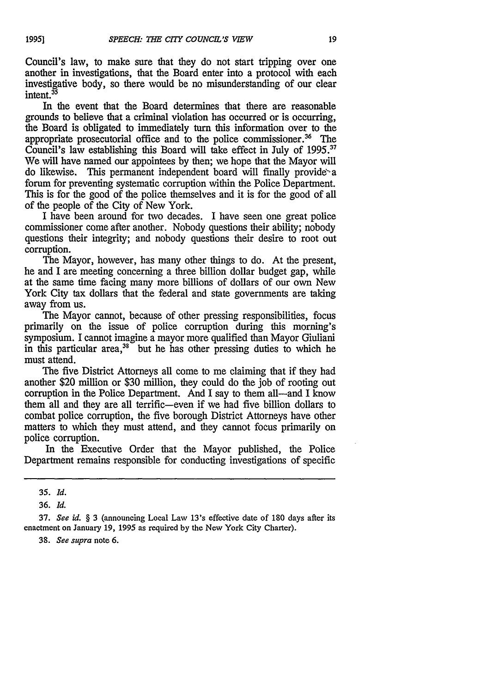Council's law, to make sure that they do not start tripping over one another in investigations, that the Board enter into a protocol with each investigative body, so there would be no misunderstanding of our clear intent.<sup>35</sup>

In the event that the Board determines that there are reasonable grounds to believe that a criminal violation has occurred or is occurring, the Board is obligated to immediately turn this information over to the appropriate prosecutorial office and to the police commissioner.<sup>36</sup> The Council's law establishing this Board will take effect in July of  $1995$ .<sup>37</sup> We will have named our appointees by then; we hope that the Mayor will do likewise. This permanent independent board will finally provide a forum for preventing systematic corruption within the Police Department. This is for the good of the police themselves and it is for the good of all of the people of the City of New York.

I have been around for two decades. I have seen one great police commissioner come after another. Nobody questions their ability; nobody questions their integrity; and nobody questions their desire to root out corruption.

The Mayor, however, has many other things to do. At the present, he and I are meeting concerning a three billion dollar budget gap, while at the same time facing many more billions of dollars of our own New York City tax dollars that the federal and state governments are taking away from us.

The Mayor cannot, because of other pressing responsibilities, focus primarily on the issue of police corruption during this morning's symposium. I cannot imagine a mayor more qualified than Mayor Giuliani in this particular area, $38$  but he has other pressing duties to which he must attend.

The five District Attorneys all come to me claiming that if they had another \$20 million or \$30 million, they could do the job of rooting out corruption in the Police Department. And I say to them all—and I know them all and they are all terrific-even if we had five billion dollars to combat police corruption, the five borough District Attorneys have other matters to which they must attend, and they cannot focus primarily on police corruption.

In the Executive Order that the Mayor published, the Police Department remains responsible for conducting investigations of specific

*38. See supra* note 6.

**<sup>35.</sup>** *Id.*

<sup>36.</sup> *Id.*

<sup>37.</sup> *See id.* § 3 (announcing Local Law 13's effective date of 180 days after its enactment on January 19, 1995 as required by the New York City Charter).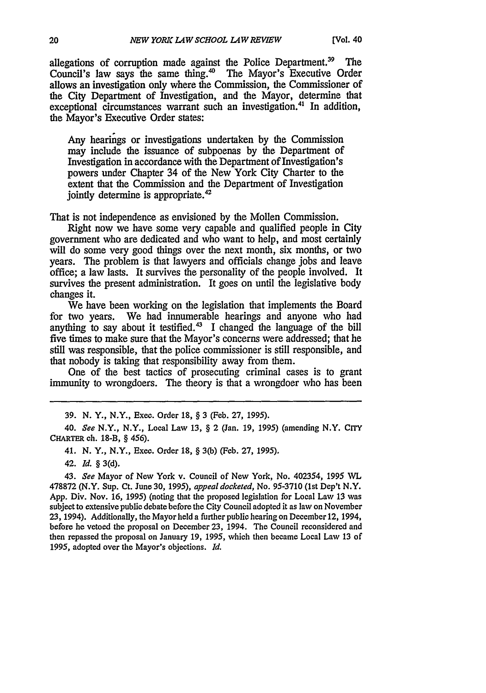allegations of corruption made against the Police Department.<sup>39</sup> The Council's law says the same thing.<sup>40</sup> The Mayor's Executive Order allows an investigation only where the Commission, the Commissioner of the City Department of Investigation, and the Mayor, determine that exceptional circumstances warrant such an investigation.41 In addition, the Mayor's Executive Order states:

Any hearings or investigations undertaken by the Commission may include the issuance of subpoenas by the Department of Investigation in accordance with the Department of Investigation's powers under Chapter 34 of the New York City Charter to the extent that the Commission and the Department of Investigation jointly determine is appropriate.<sup>42</sup>

That is not independence as envisioned by the Mollen Commission.

Right now we have some very capable and qualified people in City government who are dedicated and who want to help, and most certainly will do some very good things over the next month, six months, or two years. The problem is that lawyers and officials change jobs and leave office; a law lasts. It survives the personality of the people involved. It survives the present administration. It goes on until the legislative body changes it.

We have been working on the legislation that implements the Board for two years. We had innumerable hearings and anyone who had anything to say about it testified.43 I changed the language of the bill five times to make sure that the Mayor's concerns were addressed; that he still was responsible, that the police commissioner is still responsible, and that nobody is taking that responsibility away from them.

One of the best tactics of prosecuting criminal cases is to grant immunity to wrongdoers. The theory is that a wrongdoer who has been

39. N. Y., N.Y., Exee. Order 18, § 3 (Feb. 27, **1995).**

40. *See* N.Y., N.Y., Local Law 13, § 2 (Jan. 19, 1995) (amending N.Y. **CITY CHARTER** ch. 18-B, § 456).

41. N. Y., N.Y., Exec. Order 18, § 3(b) (Feb. **27, 1995).**

42. *Id.* § 3(d).

43. *See* Mayor of New York v. Council of New York, No. 402354, 1995 WL 478872 (N.Y. Sup. Ct. June **30,** 1995), *appeal docketed,* No. 95-3710 (1st Dep't N.Y. App. Div. Nov. 16, **1995)** (noting that the proposed legislation for Local Law **13** was subject to extensive public debate before the City Council adopted it as law on November **23,** 1994). Additionally, the Mayor held a further public hearing on December 12, 1994, before he vetoed the proposal on December 23, 1994. The Council reconsidered and then repassed the proposal on January 19, **1995,** which then became Local Law **13** of **1995,** adopted over the Mayor's objections. *Id.*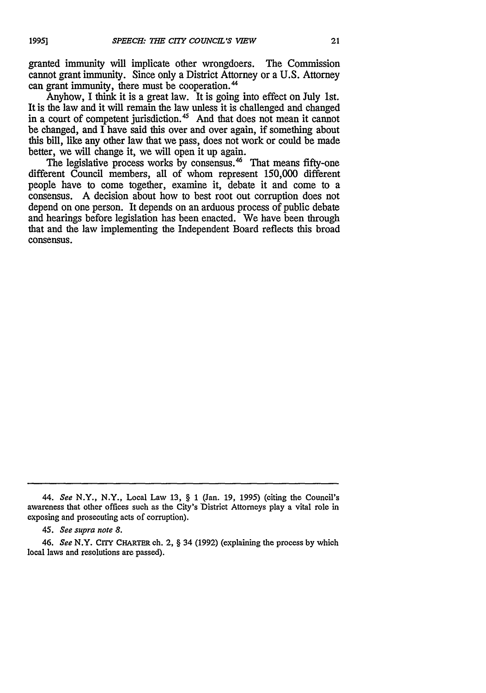granted immunity will implicate other wrongdoers. The Commission cannot grant immunity. Since only a District Attorney or a U.S. Attorney can grant immunity, there must be cooperation.<sup>44</sup>

Anyhow, I think it is a great law. It is going into effect on July 1st. It is the law and it will remain the law unless it is challenged and changed in a court of competent jurisdiction.<sup>45</sup> And that does not mean it cannot be changed, and I have said this over and over again, if something about this bill, like any other law that we pass, does not work or could be made better, we will change it, we will open it up again.

The legislative process works by consensus.<sup>46</sup> That means fifty-one different Council members, all of whom represent 150,000 different people have to come together, examine it, debate it and come to a consensus. A decision about how to best root out corruption does not depend on one person. It depends on an arduous process of public debate and hearings before legislation has been enacted. We have been through that and the law implementing the Independent Board reflects this broad consensus.

<sup>44.</sup> *See* N.Y., N.Y., Local Law 13, § 1 (Jan. 19, 1995) (citing the Council's awareness that other offices such as the City's District Attorneys play a vital role in exposing and prosecuting acts of corruption).

<sup>45.</sup> *See supra note 8.*

<sup>46.</sup> *See* N.Y. **CITY** CHARTER ch. 2, § 34 (1992) (explaining the process by which local laws and resolutions are passed).